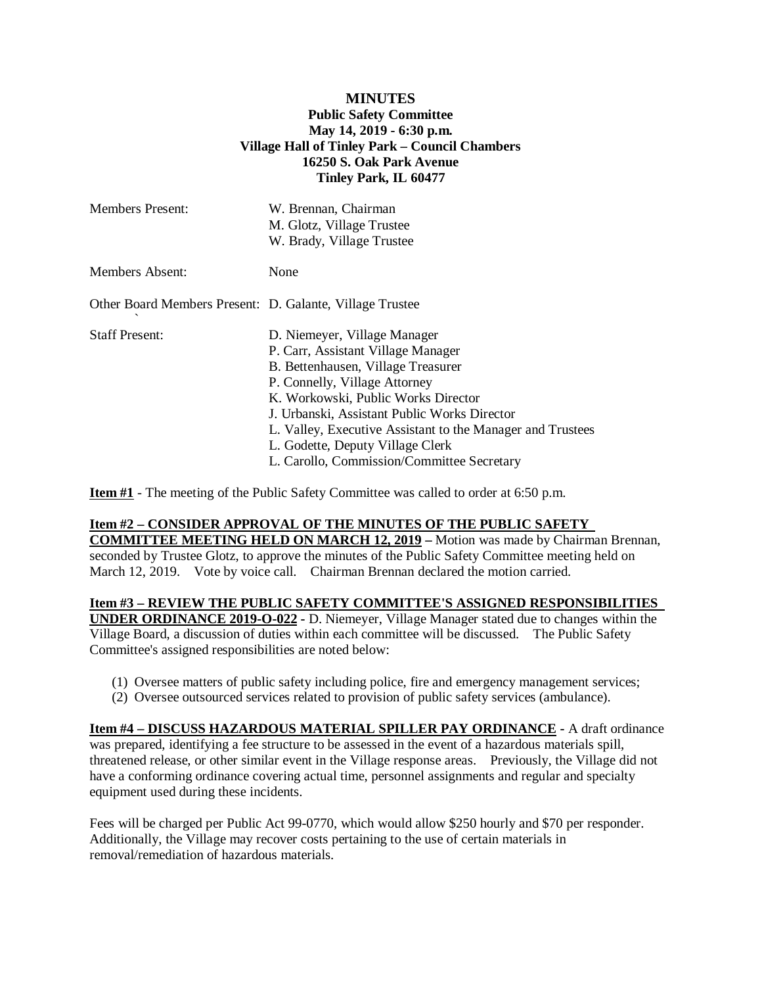## **MINUTES Public Safety Committee May 14, 2019 - 6:30 p.m. Village Hall of Tinley Park – Council Chambers 16250 S. Oak Park Avenue Tinley Park, IL 60477**

| <b>Members Present:</b>                                  | W. Brennan, Chairman<br>M. Glotz, Village Trustee<br>W. Brady, Village Trustee                                                                                                                                                                                                                                                                                                   |
|----------------------------------------------------------|----------------------------------------------------------------------------------------------------------------------------------------------------------------------------------------------------------------------------------------------------------------------------------------------------------------------------------------------------------------------------------|
| <b>Members Absent:</b>                                   | None                                                                                                                                                                                                                                                                                                                                                                             |
| Other Board Members Present: D. Galante, Village Trustee |                                                                                                                                                                                                                                                                                                                                                                                  |
| <b>Staff Present:</b>                                    | D. Niemeyer, Village Manager<br>P. Carr, Assistant Village Manager<br>B. Bettenhausen, Village Treasurer<br>P. Connelly, Village Attorney<br>K. Workowski, Public Works Director<br>J. Urbanski, Assistant Public Works Director<br>L. Valley, Executive Assistant to the Manager and Trustees<br>L. Godette, Deputy Village Clerk<br>L. Carollo, Commission/Committee Secretary |

**Item #1** - The meeting of the Public Safety Committee was called to order at 6:50 p.m.

## **Item #2 – CONSIDER APPROVAL OF THE MINUTES OF THE PUBLIC SAFETY**

**COMMITTEE MEETING HELD ON MARCH 12, 2019 –** Motion was made by Chairman Brennan, seconded by Trustee Glotz, to approve the minutes of the Public Safety Committee meeting held on March 12, 2019. Vote by voice call. Chairman Brennan declared the motion carried.

**Item #3 – REVIEW THE PUBLIC SAFETY COMMITTEE'S ASSIGNED RESPONSIBILITIES UNDER ORDINANCE 2019-O-022 -** D. Niemeyer, Village Manager stated due to changes within the

Village Board, a discussion of duties within each committee will be discussed. The Public Safety Committee's assigned responsibilities are noted below:

- (1) Oversee matters of public safety including police, fire and emergency management services;
- (2) Oversee outsourced services related to provision of public safety services (ambulance).

**Item #4 – DISCUSS HAZARDOUS MATERIAL SPILLER PAY ORDINANCE -** A draft ordinance was prepared, identifying a fee structure to be assessed in the event of a hazardous materials spill, threatened release, or other similar event in the Village response areas. Previously, the Village did not have a conforming ordinance covering actual time, personnel assignments and regular and specialty equipment used during these incidents.

Fees will be charged per Public Act 99-0770, which would allow \$250 hourly and \$70 per responder. Additionally, the Village may recover costs pertaining to the use of certain materials in removal/remediation of hazardous materials.